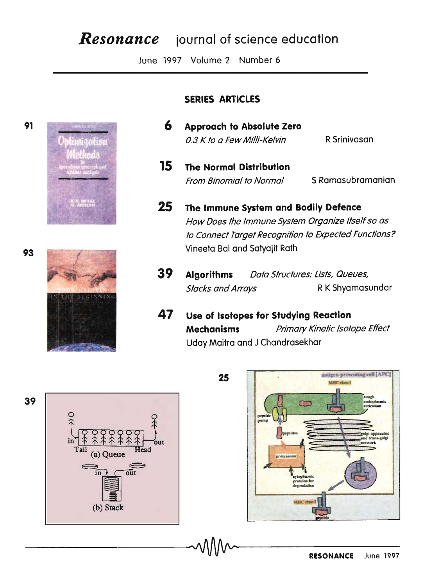# **Resonance** journal of science education

June 1997 Volume 2 Number 6

## **SERIES ARTICLES**

- 6 **Approach to Absolute Zero** 0.3 K to a Few Milli-Kelvin R Srinivasan
- 15 **The Normal Distribution From Binomial to Normal** S Ramasubramanian
- 25 The Immune System and Bodily Defence How Does the Immune System Organize Itself so as to Connect Target Recognition to Expected Functions? Vineeta Bal and Satyajit Rath
- 39 **Algorithms** Data Structures: Lists, Queues, R K Shyamasundar **Stacks and Arrays**
- 47 Use of Isotopes for Studying Reaction **Mechanisms** Primary Kinetic Isotope Effect Uday Maitra and J Chandrasekhar





93



91